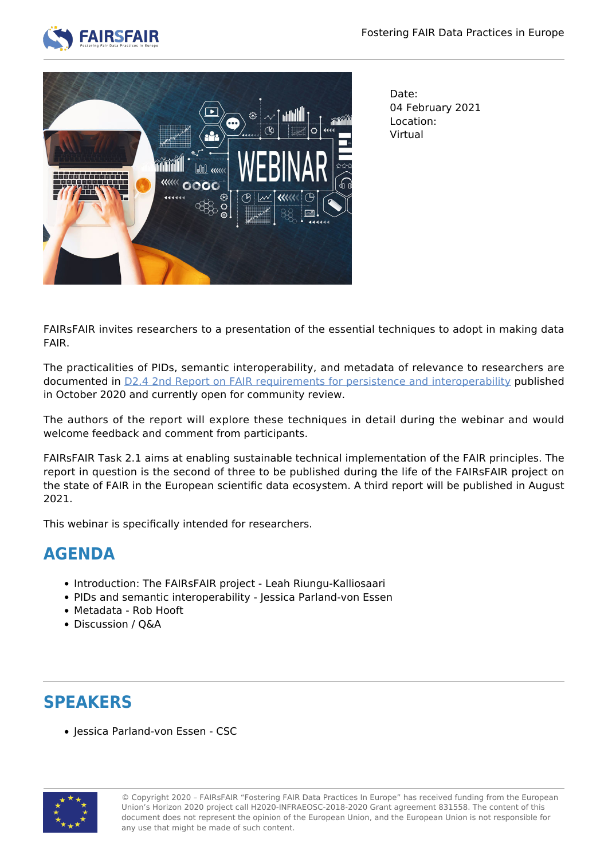



Date: 04 February 2021 Location: Virtual

FAIRsFAIR invites researchers to a presentation of the essential techniques to adopt in making data FAIR.

The practicalities of PIDs, semantic interoperability, and metadata of relevance to researchers are documented in [D2.4 2nd Report on FAIR requirements for persistence and interoperability](https://www.fairsfair.eu/news/2nd-report-fair-requirements-persistence-and-interoperability) published in October 2020 and currently open for community review.

The authors of the report will explore these techniques in detail during the webinar and would welcome feedback and comment from participants.

FAIRsFAIR Task 2.1 aims at enabling sustainable technical implementation of the FAIR principles. The report in question is the second of three to be published during the life of the FAIRsFAIR project on the state of FAIR in the European scientific data ecosystem. A third report will be published in August 2021.

This webinar is specifically intended for researchers.

## **AGENDA**

- Introduction: The FAIRsFAIR project Leah Riungu-Kalliosaari
- PIDs and semantic interoperability Jessica Parland-von Essen
- Metadata Rob Hooft
- Discussion / Q&A

## **SPEAKERS**

• Iessica Parland-von Essen - CSC